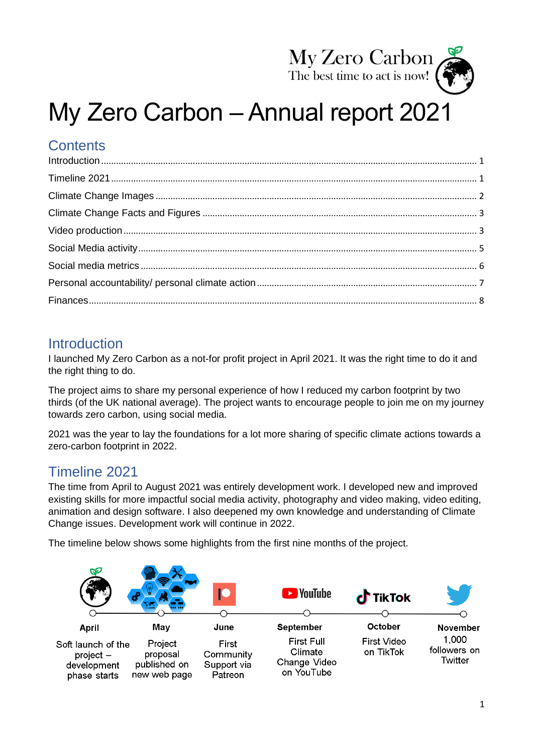

# My Zero Carbon – Annual report 2021

# **Contents**

# <span id="page-0-0"></span>**Introduction**

I launched My Zero Carbon as a not-for profit project in April 2021. It was the right time to do it and the right thing to do.

The project aims to share my personal experience of how I reduced my carbon footprint by two thirds (of the UK national average). The project wants to encourage people to join me on my journey towards zero carbon, using social media.

2021 was the year to lay the foundations for a lot more sharing of specific climate actions towards a zero-carbon footprint in 2022.

# <span id="page-0-1"></span>Timeline 2021

The time from April to August 2021 was entirely development work. I developed new and improved existing skills for more impactful social media activity, photography and video making, video editing, animation and design software. I also deepened my own knowledge and understanding of Climate Change issues. Development work will continue in 2022.

The timeline below shows some highlights from the first nine months of the project.

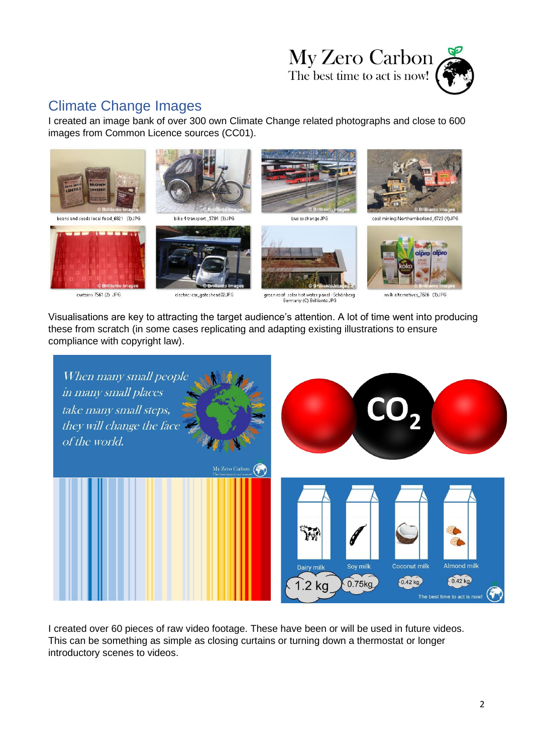

# <span id="page-1-0"></span>Climate Change Images

I created an image bank of over 300 own Climate Change related photographs and close to 600 images from Common Licence sources (CC01).



beans and seeds local food\_6821 (3)JPG



curtains 7561 (2) JPG



bike 4 transport\_5784 (3).JPG



electric-car\_gateshead02.JPG



green roof solar hot water panel -Schönberg<br>Germany (C) Brillianto.JPG



milk alternatives\_7626 (1)JPG

Visualisations are key to attracting the target audience's attention. A lot of time went into producing these from scratch (in some cases replicating and adapting existing illustrations to ensure compliance with copyright law).



I created over 60 pieces of raw video footage. These have been or will be used in future videos. This can be something as simple as closing curtains or turning down a thermostat or longer introductory scenes to videos.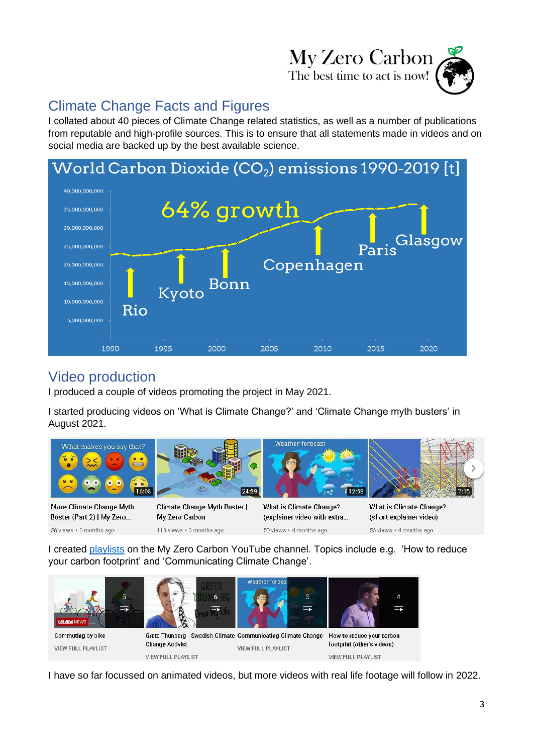

# <span id="page-2-0"></span>Climate Change Facts and Figures

I collated about 40 pieces of Climate Change related statistics, as well as a number of publications from reputable and high-profile sources. This is to ensure that all statements made in videos and on social media are backed up by the best available science.



# <span id="page-2-1"></span>Video production

I produced a couple of videos promoting the project in May 2021.

I started producing videos on 'What is Climate Change?' and 'Climate Change myth busters' in August 2021.



More Climate Change Myth Buster (Part 2) | My Zero... 56 views · 3 months ago

**Climate Change Myth Buster |** My Zero Carbon 113 views · 3 months ago

What is Climate Change? (explainer video with extra... 50 views · 4 months ago

**What is Climate Change?** (short explainer video) 56 views . 4 months ago

I created [playlists](https://www.youtube.com/channel/UC-L8ANojZmCg_40kEzMzB4A/playlists) on the My Zero Carbon YouTube channel. Topics include e.g. 'How to reduce your carbon footprint' and 'Communicating Climate Change'.



I have so far focussed on animated videos, but more videos with real life footage will follow in 2022.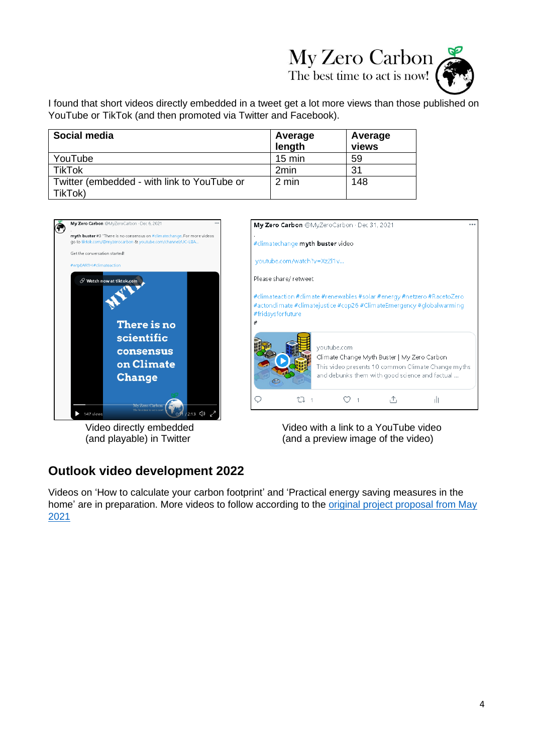# My Zero Carbon

The best time to act is now!



I found that short videos directly embedded in a tweet get a lot more views than those published on YouTube or TikTok (and then promoted via Twitter and Facebook).

| Social media                                | Average<br>length | Average<br>views |
|---------------------------------------------|-------------------|------------------|
| YouTube                                     | $15 \text{ min}$  | 59               |
| <b>TikTok</b>                               | 2 <sub>min</sub>  | 31               |
| Twitter (embedded - with link to YouTube or | 2 min             | 148              |
| TikTok)                                     |                   |                  |



Video directly embedded (and playable) in Twitter

| My Zero Carbon @MyZeroCarbon · Dec 31, 2021 |                      |                                                                                                                                                  |  |                                                    |  |
|---------------------------------------------|----------------------|--------------------------------------------------------------------------------------------------------------------------------------------------|--|----------------------------------------------------|--|
|                                             |                      | #climatechange myth buster video                                                                                                                 |  |                                                    |  |
|                                             |                      | youtube.com/watch?v=XzZl1v                                                                                                                       |  |                                                    |  |
|                                             | Please share/retweet |                                                                                                                                                  |  |                                                    |  |
| #fridaysforfuture                           |                      | #climateaction #climate #renewables #solar #energy #netzero #RacetoZero<br>#actonclimate #climatejustice #cop26 #ClimateEmergency #globalwarming |  |                                                    |  |
| #                                           |                      |                                                                                                                                                  |  |                                                    |  |
|                                             |                      | youtube.com<br>Climate Change Myth Buster   My Zero Carbon<br>and debunks them with good science and factual                                     |  | This video presents 10 common Climate Change myths |  |

Video with a link to a YouTube video (and a preview image of the video)

### **Outlook video development 2022**

Videos on 'How to calculate your carbon footprint' and 'Practical energy saving measures in the home' are in preparation. More videos to follow according to the *original project proposal from May* [2021](https://myzerocarbon.org/gallery/My%20Zero%20Carbon%20Project%20Proposal_web.pdf)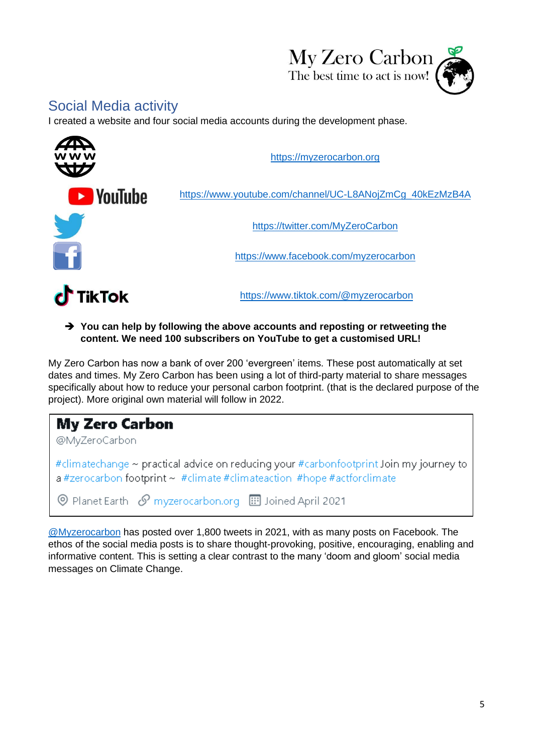

# <span id="page-4-0"></span>Social Media activity

I created a website and four social media accounts during the development phase.



➔ **You can help by following the above accounts and reposting or retweeting the content. We need 100 subscribers on YouTube to get a customised URL!**

My Zero Carbon has now a bank of over 200 'evergreen' items. These post automatically at set dates and times. My Zero Carbon has been using a lot of third-party material to share messages specifically about how to reduce your personal carbon footprint. (that is the declared purpose of the project). More original own material will follow in 2022.

# **My Zero Carbon** @MyZeroCarbon #climatechange ~ practical advice on reducing your #carbonfootprint Join my journey to a #zerocarbon footprint ~ #climate #climateaction #hope #actforclimate © Planet Earth & myzerocarbon.org **III** Joined April 2021

[@Myzerocarbon](https://twitter.com/MyZeroCarbon) has posted over 1,800 tweets in 2021, with as many posts on Facebook. The ethos of the social media posts is to share thought-provoking, positive, encouraging, enabling and informative content. This is setting a clear contrast to the many 'doom and gloom' social media messages on Climate Change.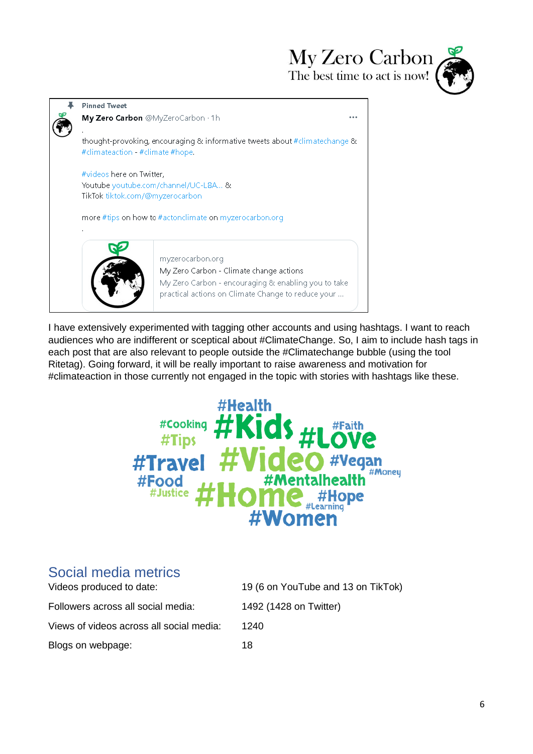My Zero Carbon The best time to act is now!





I have extensively experimented with tagging other accounts and using hashtags. I want to reach audiences who are indifferent or sceptical about #ClimateChange. So, I aim to include hash tags in each post that are also relevant to people outside the #Climatechange bubble (using the tool Ritetag). Going forward, it will be really important to raise awareness and motivation for #climateaction in those currently not engaged in the topic with stories with hashtags like these.



# <span id="page-5-0"></span>Social media metrics

| Videos produced to date:                 | 19 (6 on YouTube and 13 on TikTok) |
|------------------------------------------|------------------------------------|
| Followers across all social media:       | 1492 (1428 on Twitter)             |
| Views of videos across all social media: | 1240                               |
| Blogs on webpage:                        | 18                                 |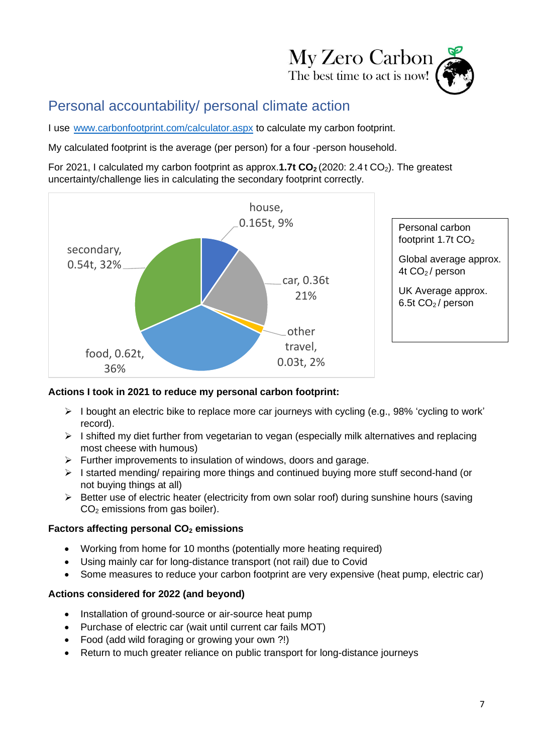

# <span id="page-6-0"></span>Personal accountability/ personal climate action

I use [www.carbonfootprint.com/calculator.aspx](http://www.carbonfootprint.com/calculator.aspx) to calculate my carbon footprint.

My calculated footprint is the average (per person) for a four -person household.

For 2021, I calculated my carbon footprint as approx.1.7t CO<sub>2</sub> (2020: 2.4 t CO<sub>2</sub>). The greatest uncertainty/challenge lies in calculating the secondary footprint correctly.



#### **Actions I took in 2021 to reduce my personal carbon footprint:**

- $\triangleright$  I bought an electric bike to replace more car journeys with cycling (e.g., 98% 'cycling to work' record).
- ➢ I shifted my diet further from vegetarian to vegan (especially milk alternatives and replacing most cheese with humous)
- ➢ Further improvements to insulation of windows, doors and garage.
- ➢ I started mending/ repairing more things and continued buying more stuff second-hand (or not buying things at all)
- ➢ Better use of electric heater (electricity from own solar roof) during sunshine hours (saving  $CO<sub>2</sub>$  emissions from gas boiler).

### **Factors affecting personal CO<sup>2</sup> emissions**

- Working from home for 10 months (potentially more heating required)
- Using mainly car for long-distance transport (not rail) due to Covid
- Some measures to reduce your carbon footprint are very expensive (heat pump, electric car)

### **Actions considered for 2022 (and beyond)**

- Installation of ground-source or air-source heat pump
- Purchase of electric car (wait until current car fails MOT)
- Food (add wild foraging or growing your own ?!)
- Return to much greater reliance on public transport for long-distance journeys